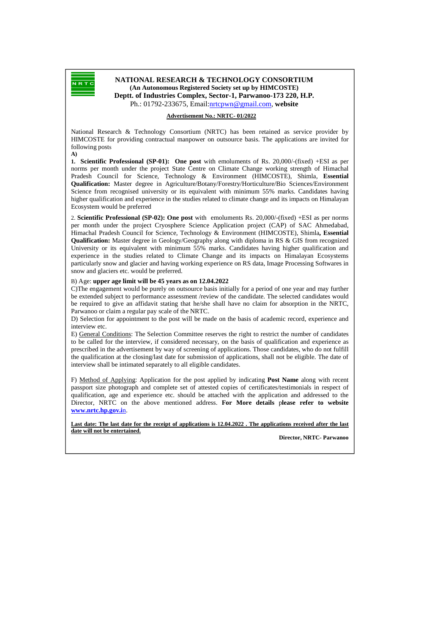

## **NATIONAL RESEARCH & TECHNOLOGY CONSORTIUM (An Autonomous Registered Society set up by HIMCOSTE) Deptt. of Industries Complex, Sector-1, Parwanoo-173 220, H.P.**  Ph.: 01792-233675, Email:nrtcpwn@gmail.com, **website**

## **Advertisement No.: NRTC- 01/2022**

National Research & Technology Consortium (NRTC) has been retained as service provider by HIMCOSTE for providing contractual manpower on outsource basis. The applications are invited for following posts

**A) 1. Scientific Professional (SP-01): One post** with emoluments of Rs. 20,000/-(fixed) +ESI as per norms per month under the project State Centre on Climate Change working strength of Himachal Pradesh Council for Science, Technology & Environment (HIMCOSTE), Shimla, **Essential Qualification:** Master degree in Agriculture/Botany/Forestry/Horticulture/Bio Sciences/Environment Science from recognised university or its equivalent with minimum 55% marks. Candidates having higher qualification and experience in the studies related to climate change and its impacts on Himalayan Ecosystem would be preferred

2. **Scientific Professional (SP-02): One post** withemoluments Rs. 20,000/-(fixed) +ESI as per norms per month under the project Cryosphere Science Application project (CAP) of SAC Ahmedabad, Himachal Pradesh Council for Science, Technology & Environment (HIMCOSTE), Shimla**, Essential Qualification:** Master degree in Geology/Geography along with diploma in RS & GIS from recognized University or its equivalent with minimum 55% marks. Candidates having higher qualification and experience in the studies related to Climate Change and its impacts on Himalayan Ecosystems particularly snow and glacier and having working experience on RS data, Image Processing Softwares in snow and glaciers etc. would be preferred.

## B) Age: **upper age limit will be 45 years as on 12.04.2022**

C)The engagement would be purely on outsource basis initially for a period of one year and may further be extended subject to performance assessment /review of the candidate. The selected candidates would be required to give an affidavit stating that he/she shall have no claim for absorption in the NRTC, Parwanoo or claim a regular pay scale of the NRTC.

D) Selection for appointment to the post will be made on the basis of academic record, experience and interview etc.

E) General Conditions: The Selection Committee reserves the right to restrict the number of candidates to be called for the interview, if considered necessary, on the basis of qualification and experience as prescribed in the advertisement by way of screening of applications. Those candidates, who do not fulfill the qualification at the closing/last date for submission of applications, shall not be eligible. The date of interview shall be intimated separately to all eligible candidates.

F) Method of Applying: Application for the post applied by indicating **Post Name** along with recent passport size photograph and complete set of attested copies of certificates/testimonials in respect of qualification, age and experience etc. should be attached with the application and addressed to the Director, NRTC on the above mentioned address. **For More details** p**lease refer to website www.nrtc.hp.gov.i**n.

Last date: The last date for the receipt of applications is 12.04.2022 . The applications received after the last **date will not be entertained.** 

**Director, NRTC- Parwanoo**